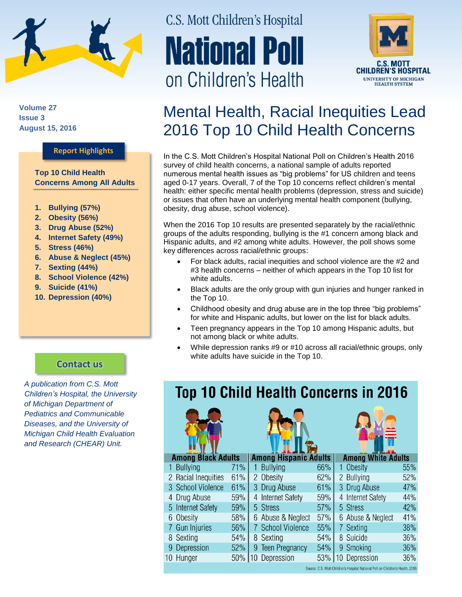

**Volume 27 Issue 3 August 15, 2016**

## **Report Highlights**

**Top 10 Child Health Concerns Among All Adults** 

- **1. Bullying (57%)**
- **2. Obesity (56%)**
- **3. Drug Abuse (52%)**
- **4. Internet Safety (49%)**
- **5. Stress (46%)**
- **6. Abuse & Neglect (45%)**
- **7. Sexting (44%)**
- **8. School Violence (42%)**
- **9. Suicide (41%)**
- **10. Depression (40%)**

# C.S. Mott Children's Hospital **National Poll** on Children's Health



## Mental Health, Racial Inequities Lead 2016 Top 10 Child Health Concerns

In the C.S. Mott Children's Hospital National Poll on Children's Health 2016 survey of child health concerns, a national sample of adults reported numerous mental health issues as "big problems" for US children and teens aged 0-17 years. Overall, 7 of the Top 10 concerns reflect children's mental health: either specific mental health problems (depression, stress and suicide) or issues that often have an underlying mental health component (bullying, obesity, drug abuse, school violence).

When the 2016 Top 10 results are presented separately by the racial/ethnic groups of the adults responding, bullying is the #1 concern among black and Hispanic adults, and #2 among white adults. However, the poll shows some key differences across racial/ethnic groups:

- For black adults, racial inequities and school violence are the #2 and #3 health concerns – neither of which appears in the Top 10 list for white adults.
- Black adults are the only group with gun injuries and hunger ranked in the Top 10.
- Childhood obesity and drug abuse are in the top three "big problems" for white and Hispanic adults, but lower on the list for black adults.
- Teen pregnancy appears in the Top 10 among Hispanic adults, but not among black or white adults.
- While depression ranks #9 or #10 across all racial/ethnic groups, only white adults have suicide in the Top 10.

*A publication from C.S. Mott Children's Hospital, the University of Michigan Department of Pediatrics and Communicable Diseases, and the University of Michigan Child Health Evaluation and Research (CHEAR) Unit.*

**[Contact us](http://mottnpch.org/contact)**

## **Top 10 Child Health Concerns in 2016**







**Among Hispanic Adults Among White Adults** 

|                                                                                | <b>Bullying</b>     | 71% |  | 1 Bullying        | 66% |  | Obesity           | 55% |
|--------------------------------------------------------------------------------|---------------------|-----|--|-------------------|-----|--|-------------------|-----|
|                                                                                | 2 Racial Inequities | 61% |  | 2 Obesity         | 62% |  | 2 Bullying        | 52% |
|                                                                                | 3 School Violence   | 61% |  | 3 Drug Abuse      | 61% |  | 3 Drug Abuse      | 47% |
|                                                                                | 4 Drug Abuse        | 59% |  | 4 Internet Safety | 59% |  | 4 Internet Safety | 44% |
|                                                                                | 5 Internet Safety   | 59% |  | 5 Stress          | 57% |  | 5 Stress          | 42% |
|                                                                                | 6 Obesity           | 58% |  | 6 Abuse & Neglect | 57% |  | 6 Abuse & Neglect | 41% |
|                                                                                | 7 Gun Injuries      | 56% |  | 7 School Violence | 55% |  | 7 Sexting         | 38% |
|                                                                                | 8 Sexting           | 54% |  | 8 Sexting         | 54% |  | 8 Suicide         | 36% |
|                                                                                | 9 Depression        | 52% |  | 9 Teen Pregnancy  | 54% |  | 9 Smoking         | 36% |
|                                                                                | 10 Hunger           | 50% |  | 10 Depression     | 53% |  | 10 Depression     | 36% |
| Source: C.S. Mott Children's Hospital National Poll on Children's Health, 2016 |                     |     |  |                   |     |  |                   |     |